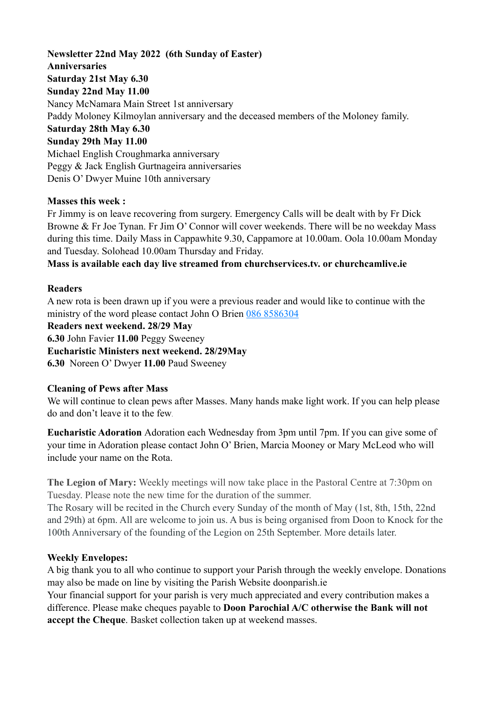**Newsletter 22nd May 2022 (6th Sunday of Easter) Anniversaries Saturday 21st May 6.30 Sunday 22nd May 11.00**  Nancy McNamara Main Street 1st anniversary Paddy Moloney Kilmoylan anniversary and the deceased members of the Moloney family. **Saturday 28th May 6.30 Sunday 29th May 11.00**  Michael English Croughmarka anniversary Peggy & Jack English Gurtnageira anniversaries Denis O' Dwyer Muine 10th anniversary

### **Masses this week :**

Fr Jimmy is on leave recovering from surgery. Emergency Calls will be dealt with by Fr Dick Browne & Fr Joe Tynan. Fr Jim O' Connor will cover weekends. There will be no weekday Mass during this time. Daily Mass in Cappawhite 9.30, Cappamore at 10.00am. Oola 10.00am Monday and Tuesday. Solohead 10.00am Thursday and Friday.

**Mass is available each day live streamed from churchservices.tv. or [churchcamlive.ie](http://churchcamlive.ie)** 

#### **Readers**

A new rota is been drawn up if you were a previous reader and would like to continue with the ministry of the word please contact John O Brien 086 8586304

**Readers next weekend. 28/29 May** 

**6.30** John Favier **11.00** Peggy Sweeney

**Eucharistic Ministers next weekend. 28/29May** 

**6.30** Noreen O' Dwyer **11.00** Paud Sweeney

### **Cleaning of Pews after Mass**

We will continue to clean pews after Masses. Many hands make light work. If you can help please do and don't leave it to the few.

**Eucharistic Adoration** Adoration each Wednesday from 3pm until 7pm. If you can give some of your time in Adoration please contact John O' Brien, Marcia Mooney or Mary McLeod who will include your name on the Rota.

**The Legion of Mary:** Weekly meetings will now take place in the Pastoral Centre at 7:30pm on Tuesday. Please note the new time for the duration of the summer.

The Rosary will be recited in the Church every Sunday of the month of May (1st, 8th, 15th, 22nd and 29th) at 6pm. All are welcome to join us. A bus is being organised from Doon to Knock for the 100th Anniversary of the founding of the Legion on 25th September. More details later.

### **Weekly Envelopes:**

A big thank you to all who continue to support your Parish through the weekly envelope. Donations may also be made on line by visiting the Parish Website [doonparish.ie](http://doonparish.ie) 

Your financial support for your parish is very much appreciated and every contribution makes a difference. Please make cheques payable to **Doon Parochial A/C otherwise the Bank will not accept the Cheque**. Basket collection taken up at weekend masses.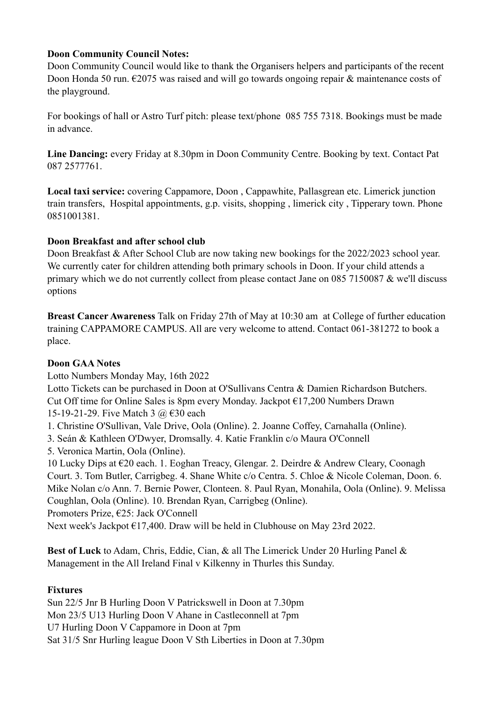## **Doon Community Council Notes:**

Doon Community Council would like to thank the Organisers helpers and participants of the recent Doon Honda 50 run.  $\epsilon$ 2075 was raised and will go towards ongoing repair & maintenance costs of the playground.

For bookings of hall or Astro Turf pitch: please text/phone 085 755 7318. Bookings must be made in advance.

**Line Dancing:** every Friday at 8.30pm in Doon Community Centre. Booking by text. Contact Pat 087 2577761.

**Local taxi service:** covering Cappamore, Doon , Cappawhite, Pallasgrean etc. Limerick junction train transfers, Hospital appointments, g.p. visits, shopping , limerick city , Tipperary town. Phone 0851001381.

## **Doon Breakfast and after school club**

Doon Breakfast & After School Club are now taking new bookings for the 2022/2023 school year. We currently cater for children attending both primary schools in Doon. If your child attends a primary which we do not currently collect from please contact Jane on 085 7150087 & we'll discuss options

**Breast Cancer Awareness** Talk on Friday 27th of May at 10:30 am at College of further education training CAPPAMORE CAMPUS. All are very welcome to attend. Contact 061-381272 to book a place.

# **Doon GAA Notes**

Lotto Numbers Monday May, 16th 2022 Lotto Tickets can be purchased in Doon at O'Sullivans Centra & Damien Richardson Butchers.

Cut Off time for Online Sales is 8pm every Monday. Jackpot €17,200 Numbers Drawn 15-19-21-29. Five Match 3 @ €30 each

1. Christine O'Sullivan, Vale Drive, Oola (Online). 2. Joanne Coffey, Carnahalla (Online).

- 3. Seán & Kathleen O'Dwyer, Dromsally. 4. Katie Franklin c/o Maura O'Connell
- 5. Veronica Martin, Oola (Online).

10 Lucky Dips at €20 each. 1. Eoghan Treacy, Glengar. 2. Deirdre & Andrew Cleary, Coonagh Court. 3. Tom Butler, Carrigbeg. 4. Shane White c/o Centra. 5. Chloe & Nicole Coleman, Doon. 6. Mike Nolan c/o Ann. 7. Bernie Power, Clonteen. 8. Paul Ryan, Monahila, Oola (Online). 9. Melissa Coughlan, Oola (Online). 10. Brendan Ryan, Carrigbeg (Online).

Promoters Prize, €25: Jack O'Connell

Next week's Jackpot €17,400. Draw will be held in Clubhouse on May 23rd 2022.

**Best of Luck** to Adam, Chris, Eddie, Cian, & all The Limerick Under 20 Hurling Panel & Management in the All Ireland Final v Kilkenny in Thurles this Sunday.

# **Fixtures**

Sun 22/5 Jnr B Hurling Doon V Patrickswell in Doon at 7.30pm Mon 23/5 U13 Hurling Doon V Ahane in Castleconnell at 7pm U7 Hurling Doon V Cappamore in Doon at 7pm Sat 31/5 Snr Hurling league Doon V Sth Liberties in Doon at 7.30pm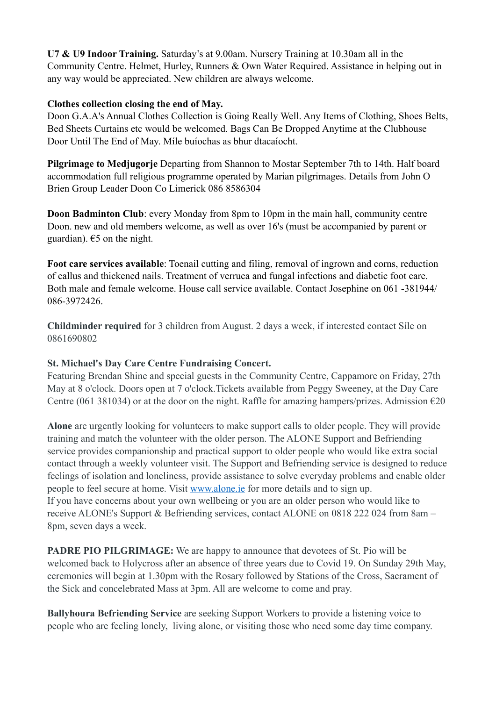**U7 & U9 Indoor Training.** Saturday's at 9.00am. Nursery Training at 10.30am all in the Community Centre. Helmet, Hurley, Runners & Own Water Required. Assistance in helping out in any way would be appreciated. New children are always welcome.

### **Clothes collection closing the end of May.**

Doon G.A.A's Annual Clothes Collection is Going Really Well. Any Items of Clothing, Shoes Belts, Bed Sheets Curtains etc would be welcomed. Bags Can Be Dropped Anytime at the Clubhouse Door Until The End of May. Míle buíochas as bhur dtacaíocht.

**Pilgrimage to Medjugorje** Departing from Shannon to Mostar September 7th to 14th. Half board accommodation full religious programme operated by Marian pilgrimages. Details from John O Brien Group Leader Doon Co Limerick 086 8586304

**Doon Badminton Club**: every Monday from 8pm to 10pm in the main hall, community centre Doon. new and old members welcome, as well as over 16's (must be accompanied by parent or guardian).  $65$  on the night.

**Foot care services available**: Toenail cutting and filing, removal of ingrown and corns, reduction of callus and thickened nails. Treatment of verruca and fungal infections and diabetic foot care. Both male and female welcome. House call service available. Contact Josephine on 061 -381944/ 086-3972426.

**Childminder required** for 3 children from August. 2 days a week, if interested contact Síle on 0861690802

# **St. Michael's Day Care Centre Fundraising Concert.**

Featuring Brendan Shine and special guests in the Community Centre, Cappamore on Friday, 27th May at 8 o'clock. Doors open at 7 o'clock.Tickets available from Peggy Sweeney, at the Day Care Centre (061 381034) or at the door on the night. Raffle for amazing hampers/prizes. Admission  $\epsilon$ 20

**Alone** are urgently looking for volunteers to make support calls to older people. They will provide training and match the volunteer with the older person. The ALONE Support and Befriending service provides companionship and practical support to older people who would like extra social contact through a weekly volunteer visit. The Support and Befriending service is designed to reduce feelings of isolation and loneliness, provide assistance to solve everyday problems and enable older people to feel secure at home. Visit [www.alone.ie](http://www.alone.ie/) for more details and to sign up. If you have concerns about your own wellbeing or you are an older person who would like to receive ALONE's Support & Befriending services, contact ALONE on 0818 222 024 from 8am – 8pm, seven days a week.

**PADRE PIO PILGRIMAGE:** We are happy to announce that devotees of St. Pio will be welcomed back to Holycross after an absence of three years due to Covid 19. On Sunday 29th May, ceremonies will begin at 1.30pm with the Rosary followed by Stations of the Cross, Sacrament of the Sick and concelebrated Mass at 3pm. All are welcome to come and pray.

**Ballyhoura Befriending Service** are seeking Support Workers to provide a listening voice to people who are feeling lonely, living alone, or visiting those who need some day time company.